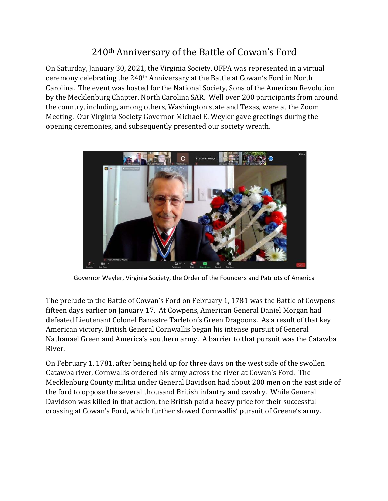## 240<sup>th</sup> Anniversary of the Battle of Cowan's Ford

On Saturday, January 30, 2021, the Virginia Society, OFPA was represented in a virtual ceremony celebrating the 240<sup>th</sup> Anniversary at the Battle at Cowan's Ford in North Carolina. The event was hosted for the National Society, Sons of the American Revolution by the Mecklenburg Chapter, North Carolina SAR. Well over 200 participants from around the country, including, among others, Washington state and Texas, were at the Zoom Meeting. Our Virginia Society Governor Michael E. Weyler gave greetings during the opening ceremonies, and subsequently presented our society wreath.



Governor Weyler, Virginia Society, the Order of the Founders and Patriots of America

The prelude to the Battle of Cowan's Ford on February 1, 1781 was the Battle of Cowpens fifteen days earlier on January 17. At Cowpens, American General Daniel Morgan had defeated Lieutenant Colonel Banastre Tarleton's Green Dragoons. As a result of that key American victory, British General Cornwallis began his intense pursuit of General Nathanael Green and America's southern army. A barrier to that pursuit was the Catawba River. 

On February 1, 1781, after being held up for three days on the west side of the swollen Catawba river, Cornwallis ordered his army across the river at Cowan's Ford. The Mecklenburg County militia under General Davidson had about 200 men on the east side of the ford to oppose the several thousand British infantry and cavalry. While General Davidson was killed in that action, the British paid a heavy price for their successful crossing at Cowan's Ford, which further slowed Cornwallis' pursuit of Greene's army.